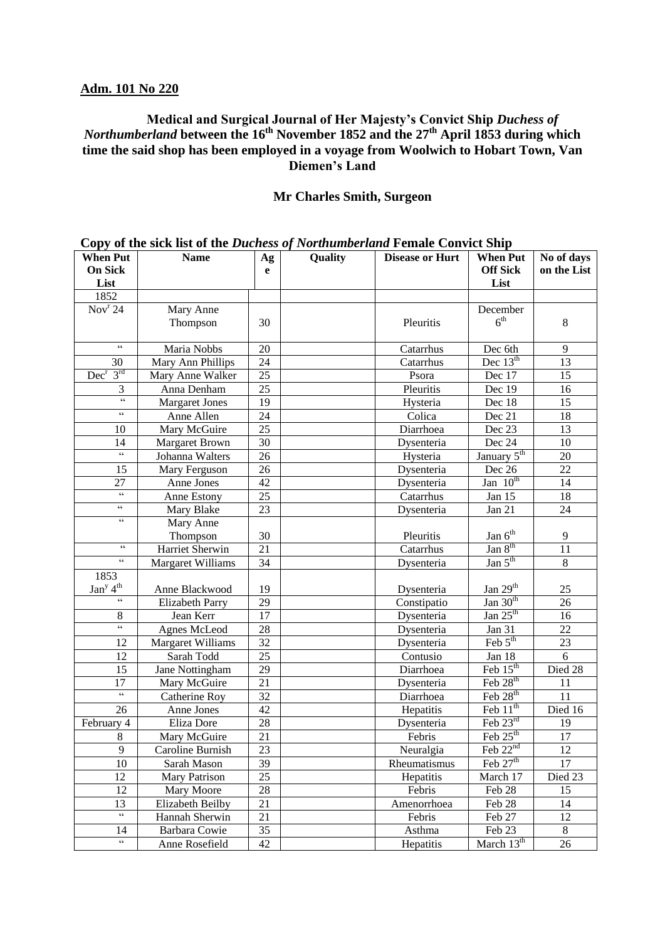# **Adm. 101 No 220**

### **Medical and Surgical Journal of Her Majesty's Convict Ship** *Duchess of Northumberland* **between the 16th November 1852 and the 27th April 1853 during which time the said shop has been employed in a voyage from Woolwich to Hobart Town, Van Diemen's Land**

### **Mr Charles Smith, Surgeon**

|                                                   | $\mathcal{O}(\mathbf{p})$ of the sick hot of the $\mathcal{O}(\mathbf{w})$ well be $\mathcal{O}(\mathbf{p})$ from the $\mathcal{O}(\mathbf{w})$ . Then $\mathcal{O}(\mathbf{w})$ |                 |         |                        |                             |             |
|---------------------------------------------------|----------------------------------------------------------------------------------------------------------------------------------------------------------------------------------|-----------------|---------|------------------------|-----------------------------|-------------|
| <b>When Put</b>                                   | <b>Name</b>                                                                                                                                                                      | Ag              | Quality | <b>Disease or Hurt</b> | <b>When Put</b>             | No of days  |
| <b>On Sick</b>                                    |                                                                                                                                                                                  | e               |         |                        | <b>Off Sick</b>             | on the List |
| List                                              |                                                                                                                                                                                  |                 |         |                        | List                        |             |
| 1852                                              |                                                                                                                                                                                  |                 |         |                        |                             |             |
| Nov <sup>r</sup> 24                               | Mary Anne                                                                                                                                                                        |                 |         |                        | December                    |             |
|                                                   | Thompson                                                                                                                                                                         | 30              |         | Pleuritis              | 6 <sup>th</sup>             | $8\,$       |
|                                                   |                                                                                                                                                                                  |                 |         |                        |                             |             |
| $\zeta$ $\zeta$                                   | Maria Nobbs                                                                                                                                                                      | 20              |         | Catarrhus              | Dec 6th                     | 9           |
| 30                                                | Mary Ann Phillips                                                                                                                                                                | 24              |         | Catarrhus              | Dec $13th$                  | 13          |
| $Dec^r 3^{rd}$                                    | Mary Anne Walker                                                                                                                                                                 | 25              |         | Psora                  | Dec 17                      | 15          |
| 3                                                 | Anna Denham                                                                                                                                                                      | 25              |         | Pleuritis              | Dec 19                      | 16          |
| $\boldsymbol{\varsigma}$ $\boldsymbol{\varsigma}$ | <b>Margaret Jones</b>                                                                                                                                                            | 19              |         | Hysteria               | Dec 18                      | 15          |
| $\boldsymbol{\varsigma}$ $\boldsymbol{\varsigma}$ | Anne Allen                                                                                                                                                                       | 24              |         | Colica                 | Dec 21                      | 18          |
| 10                                                | Mary McGuire                                                                                                                                                                     | 25              |         | Diarrhoea              | Dec 23                      | 13          |
| 14                                                | <b>Margaret Brown</b>                                                                                                                                                            | 30              |         | Dysenteria             | Dec 24                      | 10          |
| $\boldsymbol{\varsigma}$ $\boldsymbol{\varsigma}$ | Johanna Walters                                                                                                                                                                  | 26              |         | Hysteria               | January 5 <sup>th</sup>     | 20          |
| 15                                                | Mary Ferguson                                                                                                                                                                    | 26              |         | Dysenteria             | Dec 26                      | 22          |
| 27                                                | Anne Jones                                                                                                                                                                       | 42              |         | Dysenteria             | Jan $10^{th}$               | 14          |
| $\mathsf{cc}$                                     | Anne Estony                                                                                                                                                                      | 25              |         | Catarrhus              | Jan 15                      | 18          |
| $\mathfrak{c}\mathfrak{c}$                        | Mary Blake                                                                                                                                                                       | 23              |         | Dysenteria             | Jan 21                      | 24          |
| $\mathsf{cc}$                                     | Mary Anne                                                                                                                                                                        |                 |         |                        |                             |             |
|                                                   | Thompson                                                                                                                                                                         | 30              |         | Pleuritis              | $\text{Jan } 6^{\text{th}}$ | 9           |
| $\mathsf{c}\,\mathsf{c}$                          | Harriet Sherwin                                                                                                                                                                  | 21              |         | Catarrhus              | Jan 8 <sup>th</sup>         | 11          |
| $\epsilon\,\epsilon$                              | <b>Margaret Williams</b>                                                                                                                                                         | 34              |         | Dysenteria             | Jan $5th$                   | $8\,$       |
| 1853                                              |                                                                                                                                                                                  |                 |         |                        |                             |             |
| Jan <sup>y</sup> 4 <sup>th</sup>                  | Anne Blackwood                                                                                                                                                                   | 19              |         | Dysenteria             | Jan $29th$                  | 25          |
| $\mathsf{c}\,\mathsf{c}$                          | <b>Elizabeth Parry</b>                                                                                                                                                           | 29              |         | Constipatio            | Jan $30th$                  | 26          |
| $\,8$                                             | Jean Kerr                                                                                                                                                                        | 17              |         | Dysenteria             | Jan $25th$                  | 16          |
| $\epsilon\epsilon$                                | <b>Agnes McLeod</b>                                                                                                                                                              | 28              |         | Dysenteria             | Jan 31                      | 22          |
| 12                                                | <b>Margaret Williams</b>                                                                                                                                                         | 32              |         | Dysenteria             | Feb $5th$                   | 23          |
| 12                                                | Sarah Todd                                                                                                                                                                       | 25              |         | Contusio               | Jan 18                      | 6           |
| 15                                                | Jane Nottingham                                                                                                                                                                  | 29              |         | Diarrhoea              | Feb $15th$                  | Died 28     |
| 17                                                | Mary McGuire                                                                                                                                                                     | 21              |         | Dysenteria             | Feb $28th$                  | 11          |
| $\boldsymbol{\varsigma}$ $\boldsymbol{\varsigma}$ | Catherine Roy                                                                                                                                                                    | 32              |         | Diarrhoea              | Feb $28th$                  | 11          |
| 26                                                | Anne Jones                                                                                                                                                                       | 42              |         | Hepatitis              | Feb $11th$                  | Died 16     |
| February 4                                        | Eliza Dore                                                                                                                                                                       | 28              |         | Dysenteria             | Feb $23rd$                  | 19          |
| $\,8\,$                                           | Mary McGuire                                                                                                                                                                     | 21              |         | Febris                 | Feb $25th$                  | 17          |
| $\overline{9}$                                    | Caroline Burnish                                                                                                                                                                 | $\overline{23}$ |         | Neuralgia              | Feb 22 <sup>nd</sup>        | 12          |
| 10                                                | Sarah Mason                                                                                                                                                                      | 39              |         | Rheumatismus           | Feb $27th$                  | 17          |
| 12                                                | Mary Patrison                                                                                                                                                                    | 25              |         | Hepatitis              | March 17                    | Died 23     |
| 12                                                | Mary Moore                                                                                                                                                                       | $28\,$          |         | Febris                 | Feb 28                      | 15          |
| 13                                                | Elizabeth Beilby                                                                                                                                                                 | 21              |         | Amenorrhoea            | Feb 28                      | 14          |
| $\boldsymbol{\varsigma}$ $\boldsymbol{\varsigma}$ | Hannah Sherwin                                                                                                                                                                   | 21              |         | Febris                 | Feb 27                      | 12          |
|                                                   |                                                                                                                                                                                  |                 |         |                        |                             |             |
| 14<br>$\mathsf{cc}$                               | Barbara Cowie                                                                                                                                                                    | 35              |         | Asthma                 | Feb 23                      | 8           |
|                                                   | Anne Rosefield                                                                                                                                                                   | 42              |         | Hepatitis              | March $13^{th}$             | 26          |

**Copy of the sick list of the** *Duchess of Northumberland* **Female Convict Ship**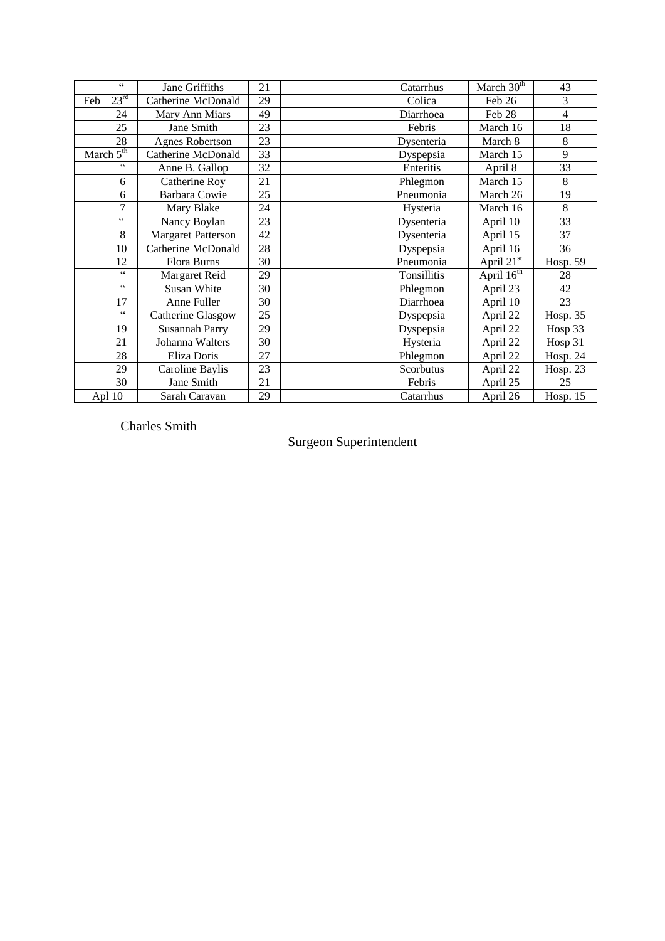| $\epsilon\,\epsilon$     | Jane Griffiths            | 21 | Catarrhus   | March $30^{\overline{th}}$ | 43              |
|--------------------------|---------------------------|----|-------------|----------------------------|-----------------|
| $23^{\rm rd}$<br>Feb     | Catherine McDonald        | 29 | Colica      | Feb 26                     | 3               |
| 24                       | Mary Ann Miars            | 49 | Diarrhoea   | Feb 28                     | $\overline{4}$  |
| 25                       | Jane Smith                | 23 | Febris      | March 16                   | 18              |
| 28                       | <b>Agnes Robertson</b>    | 23 | Dysenteria  | March 8                    | $\,8\,$         |
| March $5th$              | Catherine McDonald        | 33 | Dyspepsia   | March 15                   | 9               |
| cc                       | Anne B. Gallop            | 32 | Enteritis   | April 8                    | 33              |
| 6                        | Catherine Roy             | 21 | Phlegmon    | March 15                   | 8               |
| 6                        | Barbara Cowie             | 25 | Pneumonia   | March 26                   | 19              |
| 7                        | Mary Blake                | 24 | Hysteria    | March 16                   | 8               |
| $\mathsf{c}\,\mathsf{c}$ | Nancy Boylan              | 23 | Dysenteria  | April 10                   | 33              |
| 8                        | <b>Margaret Patterson</b> | 42 | Dysenteria  | April 15                   | 37              |
| 10                       | <b>Catherine McDonald</b> | 28 | Dyspepsia   | April 16                   | 36              |
| 12                       | Flora Burns               | 30 | Pneumonia   | April $21^{\overline{st}}$ | Hosp. 59        |
| cc                       | Margaret Reid             | 29 | Tonsillitis | April 16 <sup>th</sup>     | 28              |
| $\epsilon$               | Susan White               | 30 | Phlegmon    | April 23                   | 42              |
| 17                       | Anne Fuller               | 30 | Diarrhoea   | April 10                   | 23              |
| $\epsilon$               | Catherine Glasgow         | 25 | Dyspepsia   | April 22                   | <b>Hosp. 35</b> |
| 19                       | <b>Susannah Parry</b>     | 29 | Dyspepsia   | April 22                   | Hosp 33         |
| 21                       | Johanna Walters           | 30 | Hysteria    | April 22                   | Hosp 31         |
| 28                       | Eliza Doris               | 27 | Phlegmon    | April 22                   | Hosp. $24$      |
| 29                       | Caroline Baylis           | 23 | Scorbutus   | April 22                   | Hosp. $23$      |
| 30                       | Jane Smith                | 21 | Febris      | April 25                   | 25              |
| Apl 10                   | Sarah Caravan             | 29 | Catarrhus   | April 26                   | Hosp. $15$      |

Charles Smith

# Surgeon Superintendent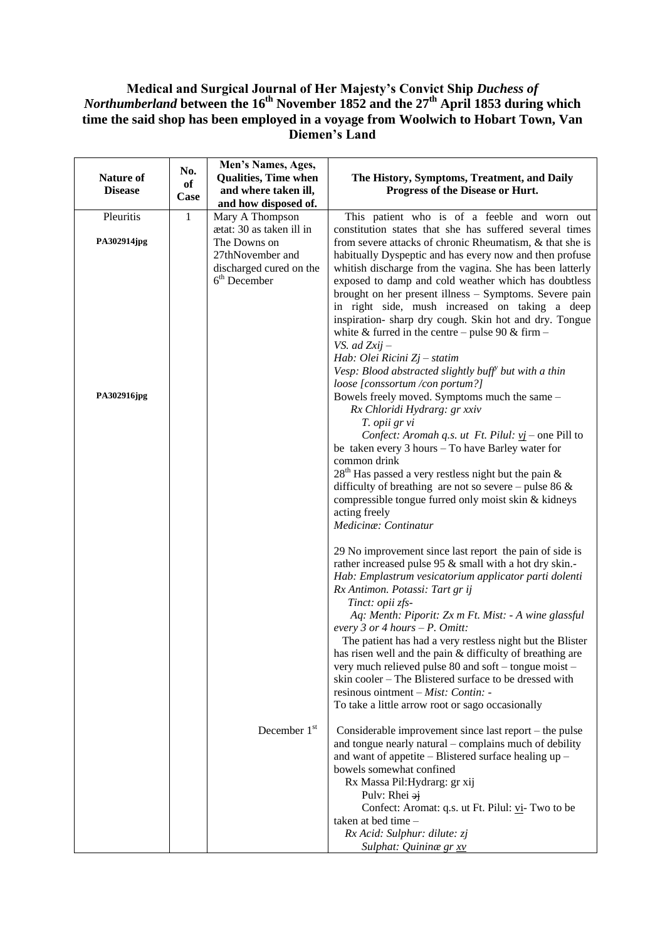## **Medical and Surgical Journal of Her Majesty's Convict Ship** *Duchess of Northumberland* **between the 16th November 1852 and the 27th April 1853 during which time the said shop has been employed in a voyage from Woolwich to Hobart Town, Van Diemen's Land**

| <b>Nature of</b><br><b>Disease</b>      | No.<br>of<br>Case | Men's Names, Ages,<br><b>Qualities, Time when</b><br>and where taken ill,<br>and how disposed of.                            | The History, Symptoms, Treatment, and Daily<br>Progress of the Disease or Hurt.                                                                                                                                                                                                                                                                                                                                                                                                                                                                                                                                                                                                                                                                                                                                                                                                                                                                                                                                                                                                                                                                                                                                                                                                                                                                                                                                                                                                                                                                                                                                                                                                                                     |
|-----------------------------------------|-------------------|------------------------------------------------------------------------------------------------------------------------------|---------------------------------------------------------------------------------------------------------------------------------------------------------------------------------------------------------------------------------------------------------------------------------------------------------------------------------------------------------------------------------------------------------------------------------------------------------------------------------------------------------------------------------------------------------------------------------------------------------------------------------------------------------------------------------------------------------------------------------------------------------------------------------------------------------------------------------------------------------------------------------------------------------------------------------------------------------------------------------------------------------------------------------------------------------------------------------------------------------------------------------------------------------------------------------------------------------------------------------------------------------------------------------------------------------------------------------------------------------------------------------------------------------------------------------------------------------------------------------------------------------------------------------------------------------------------------------------------------------------------------------------------------------------------------------------------------------------------|
| Pleuritis<br>PA302914jpg<br>PA302916jpg | $\mathbf{1}$      | Mary A Thompson<br>ætat: 30 as taken ill in<br>The Downs on<br>27thNovember and<br>discharged cured on the<br>$6th$ December | This patient who is of a feeble and worn out<br>constitution states that she has suffered several times<br>from severe attacks of chronic Rheumatism, & that she is<br>habitually Dyspeptic and has every now and then profuse<br>whitish discharge from the vagina. She has been latterly<br>exposed to damp and cold weather which has doubtless<br>brought on her present illness - Symptoms. Severe pain<br>in right side, mush increased on taking a deep<br>inspiration-sharp dry cough. Skin hot and dry. Tongue<br>white & furred in the centre – pulse 90 & firm –<br>VS. ad $Zxij -$<br>Hab: Olei Ricini Zj - statim<br>Vesp: Blood abstracted slightly buff <sup>y</sup> but with a thin<br>loose [conssortum /con portum?]<br>Bowels freely moved. Symptoms much the same -<br>Rx Chloridi Hydrarg: gr xxiv<br>T. opii gr vi<br>Confect: Aromah q.s. ut Ft. Pilul: $yj$ – one Pill to<br>be taken every 3 hours - To have Barley water for<br>common drink<br>$28th$ Has passed a very restless night but the pain &<br>difficulty of breathing are not so severe – pulse 86 $\&$<br>compressible tongue furred only moist skin & kidneys<br>acting freely<br>Medicina: Continatur<br>29 No improvement since last report the pain of side is<br>rather increased pulse 95 & small with a hot dry skin.-<br>Hab: Emplastrum vesicatorium applicator parti dolenti<br>Rx Antimon. Potassi: Tart gr ij<br>Tinct: opii zfs-<br>Aq: Menth: Piporit: Zx m Ft. Mist: - A wine glassful<br>every 3 or 4 hours $-P$ . Omitt:<br>The patient has had a very restless night but the Blister<br>has risen well and the pain & difficulty of breathing are<br>very much relieved pulse 80 and soft – tongue moist – |
|                                         |                   |                                                                                                                              | skin cooler - The Blistered surface to be dressed with<br>resinous ointment $-Mist$ : Contin: -<br>To take a little arrow root or sago occasionally                                                                                                                                                                                                                                                                                                                                                                                                                                                                                                                                                                                                                                                                                                                                                                                                                                                                                                                                                                                                                                                                                                                                                                                                                                                                                                                                                                                                                                                                                                                                                                 |
|                                         |                   | December 1 <sup>st</sup>                                                                                                     | Considerable improvement since last report – the pulse<br>and tongue nearly natural – complains much of debility<br>and want of appetite – Blistered surface healing up –<br>bowels somewhat confined<br>Rx Massa Pil: Hydrarg: gr xij<br>Pulv: Rhei $\frac{1}{2}$<br>Confect: Aromat: q.s. ut Ft. Pilul: vi- Two to be<br>taken at bed time –<br>Rx Acid: Sulphur: dilute: zj<br>Sulphat: Quininæ gr xv                                                                                                                                                                                                                                                                                                                                                                                                                                                                                                                                                                                                                                                                                                                                                                                                                                                                                                                                                                                                                                                                                                                                                                                                                                                                                                            |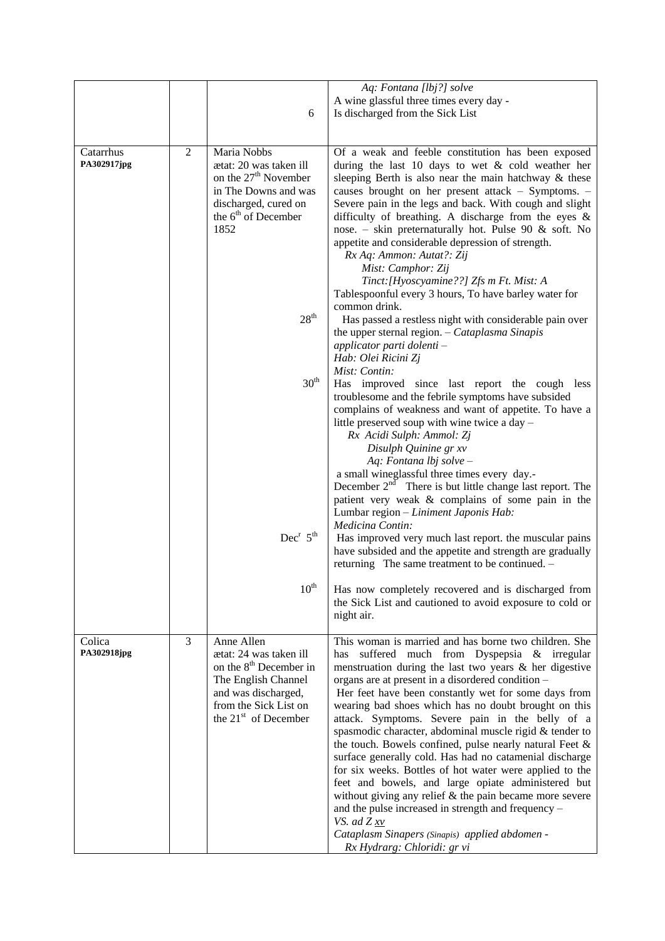|                          |                |                                                                                                                                                                                                              | Aq: Fontana [lbj?] solve                                                                                                                                                                                                                                                                                                                                                                                                                                                                                                                                                                                                                                                                                                                                                                                                                                                                                                |
|--------------------------|----------------|--------------------------------------------------------------------------------------------------------------------------------------------------------------------------------------------------------------|-------------------------------------------------------------------------------------------------------------------------------------------------------------------------------------------------------------------------------------------------------------------------------------------------------------------------------------------------------------------------------------------------------------------------------------------------------------------------------------------------------------------------------------------------------------------------------------------------------------------------------------------------------------------------------------------------------------------------------------------------------------------------------------------------------------------------------------------------------------------------------------------------------------------------|
|                          |                |                                                                                                                                                                                                              | A wine glassful three times every day -                                                                                                                                                                                                                                                                                                                                                                                                                                                                                                                                                                                                                                                                                                                                                                                                                                                                                 |
|                          |                | 6                                                                                                                                                                                                            | Is discharged from the Sick List                                                                                                                                                                                                                                                                                                                                                                                                                                                                                                                                                                                                                                                                                                                                                                                                                                                                                        |
|                          |                |                                                                                                                                                                                                              |                                                                                                                                                                                                                                                                                                                                                                                                                                                                                                                                                                                                                                                                                                                                                                                                                                                                                                                         |
| Catarrhus<br>PA302917jpg | $\overline{2}$ | Maria Nobbs<br>ætat: 20 was taken ill<br>on the 27 <sup>th</sup> November<br>in The Downs and was<br>discharged, cured on<br>the 6 <sup>th</sup> of December<br>1852<br>28 <sup>th</sup><br>30 <sup>th</sup> | Of a weak and feeble constitution has been exposed<br>during the last 10 days to wet $\&$ cold weather her<br>sleeping Berth is also near the main hatchway & these<br>causes brought on her present attack - Symptoms. -<br>Severe pain in the legs and back. With cough and slight<br>difficulty of breathing. A discharge from the eyes $\&$<br>nose. – skin preternaturally hot. Pulse 90 $\&$ soft. No<br>appetite and considerable depression of strength.<br>Rx Aq: Ammon: Autat?: Zij<br>Mist: Camphor: Zij<br>Tinct: [Hyoscyamine??] Zfs m Ft. Mist: A<br>Tablespoonful every 3 hours, To have barley water for<br>common drink.<br>Has passed a restless night with considerable pain over<br>the upper sternal region. $-$ Cataplasma Sinapis<br>applicator parti dolenti -<br>Hab: Olei Ricini Zj<br>Mist: Contin:<br>Has improved since last report the cough less                                         |
|                          |                | $Dec^{r} 5^{th}$                                                                                                                                                                                             | troublesome and the febrile symptoms have subsided<br>complains of weakness and want of appetite. To have a<br>little preserved soup with wine twice a day -<br>Rx Acidi Sulph: Ammol: Zj<br>Disulph Quinine gr xv<br>Aq: Fontana lbj solve -<br>a small wineglassful three times every day.-<br>December $2nd$ There is but little change last report. The<br>patient very weak & complains of some pain in the<br>Lumbar region - Liniment Japonis Hab:<br>Medicina Contin:<br>Has improved very much last report. the muscular pains<br>have subsided and the appetite and strength are gradually<br>returning The same treatment to be continued. -                                                                                                                                                                                                                                                                 |
|                          |                | $10^{\text{th}}$                                                                                                                                                                                             | Has now completely recovered and is discharged from<br>the Sick List and cautioned to avoid exposure to cold or<br>night air.                                                                                                                                                                                                                                                                                                                                                                                                                                                                                                                                                                                                                                                                                                                                                                                           |
| Colica<br>PA302918jpg    | 3              | Anne Allen<br>ætat: 24 was taken ill<br>on the 8 <sup>th</sup> December in<br>The English Channel<br>and was discharged,<br>from the Sick List on<br>the 21 <sup>st</sup> of December                        | This woman is married and has borne two children. She<br>suffered much from Dyspepsia & irregular<br>has<br>menstruation during the last two years $\&$ her digestive<br>organs are at present in a disordered condition -<br>Her feet have been constantly wet for some days from<br>wearing bad shoes which has no doubt brought on this<br>attack. Symptoms. Severe pain in the belly of a<br>spasmodic character, abdominal muscle rigid & tender to<br>the touch. Bowels confined, pulse nearly natural Feet &<br>surface generally cold. Has had no catamenial discharge<br>for six weeks. Bottles of hot water were applied to the<br>feet and bowels, and large opiate administered but<br>without giving any relief $&$ the pain became more severe<br>and the pulse increased in strength and frequency -<br>VS. ad $Z_{xv}$<br>Cataplasm Sinapers (Sinapis) applied abdomen -<br>Rx Hydrarg: Chloridi: gr vi |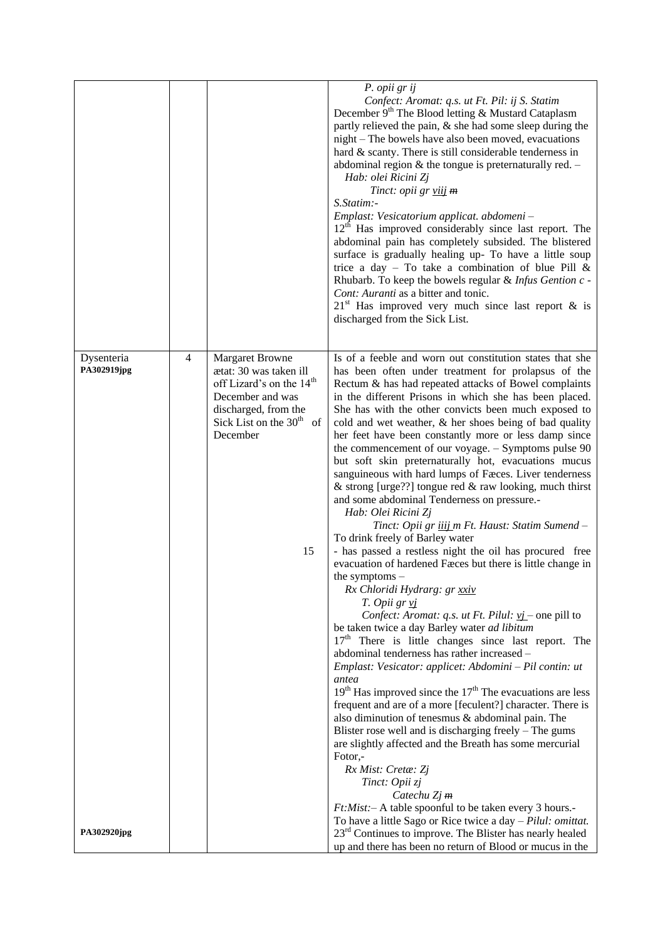|                           |                |                                                                                                                                                                                         | P. opii gr ij<br>Confect: Aromat: q.s. ut Ft. Pil: ij S. Statim<br>December 9 <sup>th</sup> The Blood letting & Mustard Cataplasm<br>partly relieved the pain, & she had some sleep during the<br>night – The bowels have also been moved, evacuations<br>hard & scanty. There is still considerable tenderness in<br>abdominal region $&$ the tongue is preternaturally red. $-$<br>Hab: olei Ricini Zj<br>Tinct: opii gr viij m<br>S.Statim:-<br>Emplast: Vesicatorium applicat. abdomeni-<br>$12th$ Has improved considerably since last report. The<br>abdominal pain has completely subsided. The blistered<br>surface is gradually healing up- To have a little soup<br>trice a day - To take a combination of blue Pill $\&$<br>Rhubarb. To keep the bowels regular & Infus Gention c -<br>Cont: Auranti as a bitter and tonic.<br>$21st$ Has improved very much since last report & is<br>discharged from the Sick List.                                                                                                                                                                                                                                                                                                                                                                                                                                                                                                                                                                                                                                                                                                                                                                                                                                                                                        |
|---------------------------|----------------|-----------------------------------------------------------------------------------------------------------------------------------------------------------------------------------------|-------------------------------------------------------------------------------------------------------------------------------------------------------------------------------------------------------------------------------------------------------------------------------------------------------------------------------------------------------------------------------------------------------------------------------------------------------------------------------------------------------------------------------------------------------------------------------------------------------------------------------------------------------------------------------------------------------------------------------------------------------------------------------------------------------------------------------------------------------------------------------------------------------------------------------------------------------------------------------------------------------------------------------------------------------------------------------------------------------------------------------------------------------------------------------------------------------------------------------------------------------------------------------------------------------------------------------------------------------------------------------------------------------------------------------------------------------------------------------------------------------------------------------------------------------------------------------------------------------------------------------------------------------------------------------------------------------------------------------------------------------------------------------------------------------------------------|
| Dysenteria<br>PA302919jpg | $\overline{4}$ | <b>Margaret Browne</b><br>ætat: 30 was taken ill<br>off Lizard's on the 14 <sup>th</sup><br>December and was<br>discharged, from the<br>Sick List on the $30th$<br>of<br>December<br>15 | Is of a feeble and worn out constitution states that she<br>has been often under treatment for prolapsus of the<br>Rectum & has had repeated attacks of Bowel complaints<br>in the different Prisons in which she has been placed.<br>She has with the other convicts been much exposed to<br>cold and wet weather, & her shoes being of bad quality<br>her feet have been constantly more or less damp since<br>the commencement of our voyage. - Symptoms pulse 90<br>but soft skin preternaturally hot, evacuations mucus<br>sanguineous with hard lumps of Fæces. Liver tenderness<br>& strong [urge??] tongue red & raw looking, much thirst<br>and some abdominal Tenderness on pressure.-<br>Hab: Olei Ricini Zj<br>Tinct: Opii gr iiij m Ft. Haust: Statim Sumend -<br>To drink freely of Barley water<br>- has passed a restless night the oil has procured free<br>evacuation of hardened Fæces but there is little change in<br>the symptoms $-$<br>Rx Chloridi Hydrarg: gr xxiv<br>T. Opii gr vj<br>Confect: Aromat: q.s. ut Ft. Pilul: $vj$ – one pill to<br>be taken twice a day Barley water ad libitum<br>17 <sup>th</sup> There is little changes since last report. The<br>abdominal tenderness has rather increased -<br>Emplast: Vesicator: applicet: Abdomini - Pil contin: ut<br>antea<br>$19th$ Has improved since the $17th$ The evacuations are less<br>frequent and are of a more [feculent?] character. There is<br>also diminution of tenesmus & abdominal pain. The<br>Blister rose well and is discharging freely - The gums<br>are slightly affected and the Breath has some mercurial<br>Fotor,-<br>Rx Mist: Cretæ: Zj<br>Tinct: Opii zj<br>Catechu $Zj$ m<br>Ft: Mist: - A table spoonful to be taken every 3 hours.-<br>To have a little Sago or Rice twice a day $-$ Pilul: omittat. |
| PA302920jpg               |                |                                                                                                                                                                                         | 23 <sup>rd</sup> Continues to improve. The Blister has nearly healed<br>up and there has been no return of Blood or mucus in the                                                                                                                                                                                                                                                                                                                                                                                                                                                                                                                                                                                                                                                                                                                                                                                                                                                                                                                                                                                                                                                                                                                                                                                                                                                                                                                                                                                                                                                                                                                                                                                                                                                                                        |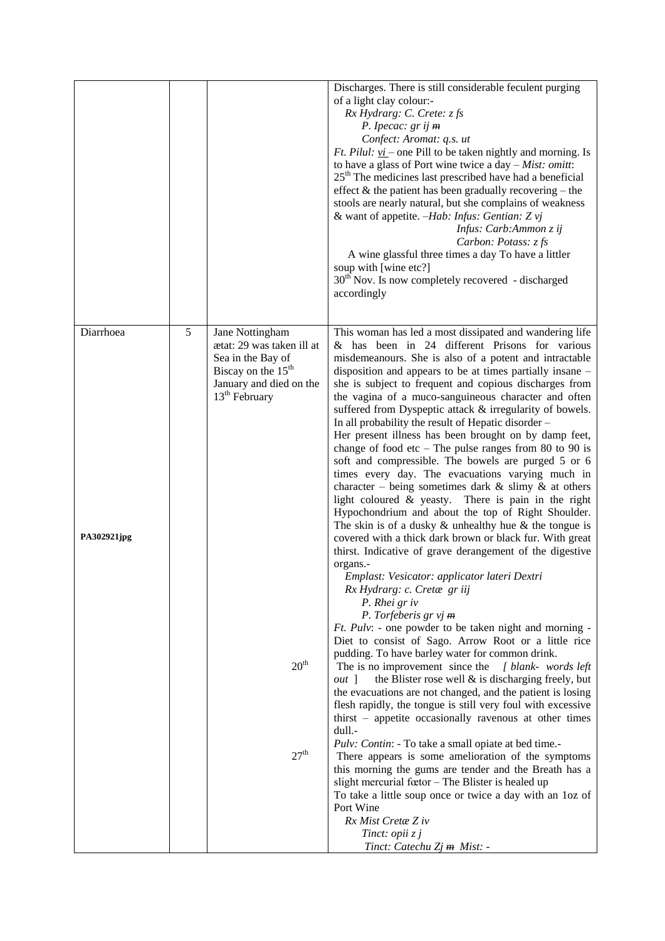|                          |   |                                                                                                                                         | Discharges. There is still considerable feculent purging<br>of a light clay colour:-<br>Rx Hydrarg: C. Crete: z fs<br>P. Ipecac: $gr$ ij $m$<br>Confect: Aromat: q.s. ut<br><i>Ft. Pilul: <math>vi</math></i> – one Pill to be taken nightly and morning. Is<br>to have a glass of Port wine twice a day $-Mist$ : omitt:<br>$25th$ The medicines last prescribed have had a beneficial<br>effect $\&$ the patient has been gradually recovering – the<br>stools are nearly natural, but she complains of weakness<br>& want of appetite. -Hab: Infus: Gentian: Z vj<br>Infus: Carb:Ammon z ij<br>Carbon: Potass: z fs<br>A wine glassful three times a day To have a littler<br>soup with [wine etc?]<br>30 <sup>th</sup> Nov. Is now completely recovered - discharged<br>accordingly                                                                                                                                                                                                                                                                                                                                                                             |
|--------------------------|---|-----------------------------------------------------------------------------------------------------------------------------------------|---------------------------------------------------------------------------------------------------------------------------------------------------------------------------------------------------------------------------------------------------------------------------------------------------------------------------------------------------------------------------------------------------------------------------------------------------------------------------------------------------------------------------------------------------------------------------------------------------------------------------------------------------------------------------------------------------------------------------------------------------------------------------------------------------------------------------------------------------------------------------------------------------------------------------------------------------------------------------------------------------------------------------------------------------------------------------------------------------------------------------------------------------------------------|
| Diarrhoea<br>PA302921jpg | 5 | Jane Nottingham<br>ætat: 29 was taken ill at<br>Sea in the Bay of<br>Biscay on the $15th$<br>January and died on the<br>$13th$ February | This woman has led a most dissipated and wandering life<br>& has been in 24 different Prisons for various<br>misdemeanours. She is also of a potent and intractable<br>disposition and appears to be at times partially insane -<br>she is subject to frequent and copious discharges from<br>the vagina of a muco-sanguineous character and often<br>suffered from Dyspeptic attack & irregularity of bowels.<br>In all probability the result of Hepatic disorder -<br>Her present illness has been brought on by damp feet,<br>change of food etc $-$ The pulse ranges from 80 to 90 is<br>soft and compressible. The bowels are purged 5 or 6<br>times every day. The evacuations varying much in<br>character – being sometimes dark $\&$ slimy $\&$ at others<br>light coloured & yeasty. There is pain in the right<br>Hypochondrium and about the top of Right Shoulder.<br>The skin is of a dusky $\&$ unhealthy hue $\&$ the tongue is<br>covered with a thick dark brown or black fur. With great<br>thirst. Indicative of grave derangement of the digestive<br>organs.-<br>Emplast: Vesicator: applicator lateri Dextri<br>Rx Hydrarg: c. Cretæ gr iij |
|                          |   | 20 <sup>th</sup><br>27 <sup>th</sup>                                                                                                    | P. Rhei gr iv<br>P. Torfeberis $gr$ vj $m$<br><i>Ft. Pulv:</i> - one powder to be taken night and morning -<br>Diet to consist of Sago. Arrow Root or a little rice<br>pudding. To have barley water for common drink.<br>The is no improvement since the [blank-words left]<br>the Blister rose well $\&$ is discharging freely, but<br>$out$ ]<br>the evacuations are not changed, and the patient is losing<br>flesh rapidly, the tongue is still very foul with excessive<br>thirst – appetite occasionally ravenous at other times<br>dull.-<br><i>Pulv: Contin:</i> - To take a small opiate at bed time.-<br>There appears is some amelioration of the symptoms<br>this morning the gums are tender and the Breath has a<br>slight mercurial fœtor – The Blister is healed up<br>To take a little soup once or twice a day with an loz of<br>Port Wine<br>Rx Mist Cretae Z iv<br>Tinct: opii $zj$<br>Tinct: Catechu Zj m Mist: -                                                                                                                                                                                                                             |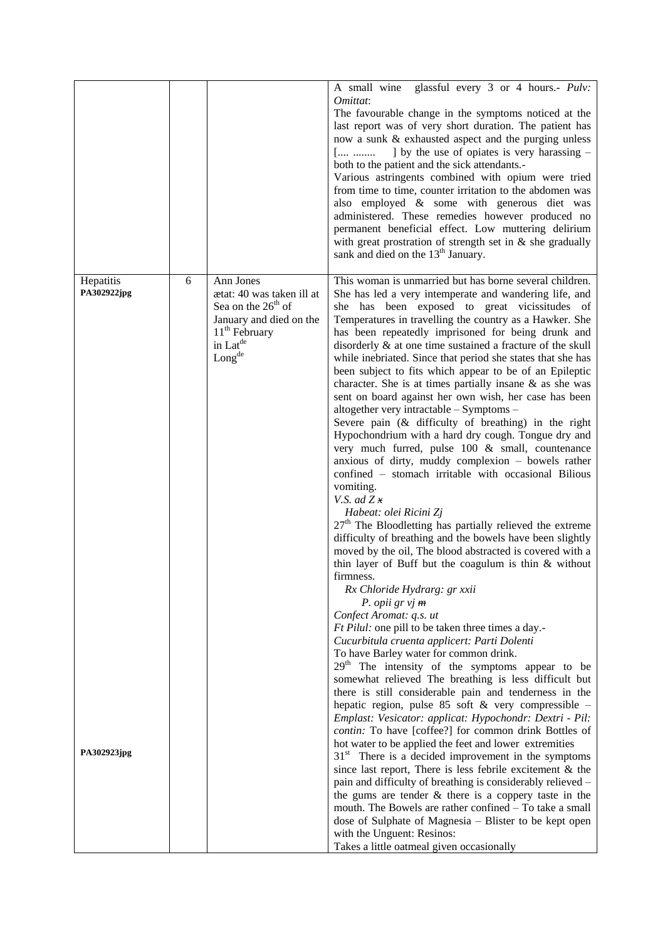|                                         |   |                                                                                                                                                                                    | A small wine glassful every 3 or 4 hours.- <i>Pulv</i> :<br>Omittat:<br>The favourable change in the symptoms noticed at the<br>last report was of very short duration. The patient has<br>now a sunk & exhausted aspect and the purging unless<br>] by the use of opiates is very harassing –<br>[<br>both to the patient and the sick attendants.-<br>Various astringents combined with opium were tried<br>from time to time, counter irritation to the abdomen was<br>also employed & some with generous diet was<br>administered. These remedies however produced no<br>permanent beneficial effect. Low muttering delirium<br>with great prostration of strength set in $\&$ she gradually<br>sank and died on the 13 <sup>th</sup> January.                                                                                                                                                                                                                                                                                                                                                                                                                                                                                                                                                                                                                                                                                                                                                                                                                                                                                                                                                                                                                                                                                                                                                                                                                                                                                                                                                                 |
|-----------------------------------------|---|------------------------------------------------------------------------------------------------------------------------------------------------------------------------------------|--------------------------------------------------------------------------------------------------------------------------------------------------------------------------------------------------------------------------------------------------------------------------------------------------------------------------------------------------------------------------------------------------------------------------------------------------------------------------------------------------------------------------------------------------------------------------------------------------------------------------------------------------------------------------------------------------------------------------------------------------------------------------------------------------------------------------------------------------------------------------------------------------------------------------------------------------------------------------------------------------------------------------------------------------------------------------------------------------------------------------------------------------------------------------------------------------------------------------------------------------------------------------------------------------------------------------------------------------------------------------------------------------------------------------------------------------------------------------------------------------------------------------------------------------------------------------------------------------------------------------------------------------------------------------------------------------------------------------------------------------------------------------------------------------------------------------------------------------------------------------------------------------------------------------------------------------------------------------------------------------------------------------------------------------------------------------------------------------------------------|
| Hepatitis<br>PA302922jpg<br>PA302923jpg | 6 | Ann Jones<br>ætat: 40 was taken ill at<br>Sea on the $26th$ of<br>January and died on the<br>$11th$ February<br>in $\operatorname{Lat}^\text{de}$<br>$\mathsf{Long}^{\mathsf{de}}$ | This woman is unmarried but has borne several children.<br>She has led a very intemperate and wandering life, and<br>has been exposed to great vicissitudes of<br>she<br>Temperatures in travelling the country as a Hawker. She<br>has been repeatedly imprisoned for being drunk and<br>disorderly & at one time sustained a fracture of the skull<br>while inebriated. Since that period she states that she has<br>been subject to fits which appear to be of an Epileptic<br>character. She is at times partially insane $\&$ as she was<br>sent on board against her own wish, her case has been<br>altogether very intractable - Symptoms -<br>Severe pain (& difficulty of breathing) in the right<br>Hypochondrium with a hard dry cough. Tongue dry and<br>very much furred, pulse 100 & small, countenance<br>anxious of dirty, muddy complexion - bowels rather<br>confined - stomach irritable with occasional Bilious<br>vomiting.<br>V.S. ad $Zx$<br>Habeat: olei Ricini Zj<br>$27th$ The Bloodletting has partially relieved the extreme<br>difficulty of breathing and the bowels have been slightly<br>moved by the oil, The blood abstracted is covered with a<br>thin layer of Buff but the coagulum is thin $&$ without<br>firmness.<br>Rx Chloride Hydrarg: gr xxii<br>P. opii gr $vj$ m<br>Confect Aromat: q.s. ut<br><i>Ft Pilul:</i> one pill to be taken three times a day.-<br>Cucurbitula cruenta applicert: Parti Dolenti<br>To have Barley water for common drink.<br>29 <sup>th</sup> The intensity of the symptoms appear to be<br>somewhat relieved The breathing is less difficult but<br>there is still considerable pain and tenderness in the<br>hepatic region, pulse 85 soft $\&$ very compressible -<br>Emplast: Vesicator: applicat: Hypochondr: Dextri - Pil:<br>contin: To have [coffee?] for common drink Bottles of<br>hot water to be applied the feet and lower extremities<br>$31st$ There is a decided improvement in the symptoms<br>since last report, There is less febrile excitement $\&$ the<br>pain and difficulty of breathing is considerably relieved - |
|                                         |   |                                                                                                                                                                                    | the gums are tender $\&$ there is a coppery taste in the<br>mouth. The Bowels are rather confined – To take a small<br>dose of Sulphate of Magnesia - Blister to be kept open<br>with the Unguent: Resinos:<br>Takes a little oatmeal given occasionally                                                                                                                                                                                                                                                                                                                                                                                                                                                                                                                                                                                                                                                                                                                                                                                                                                                                                                                                                                                                                                                                                                                                                                                                                                                                                                                                                                                                                                                                                                                                                                                                                                                                                                                                                                                                                                                           |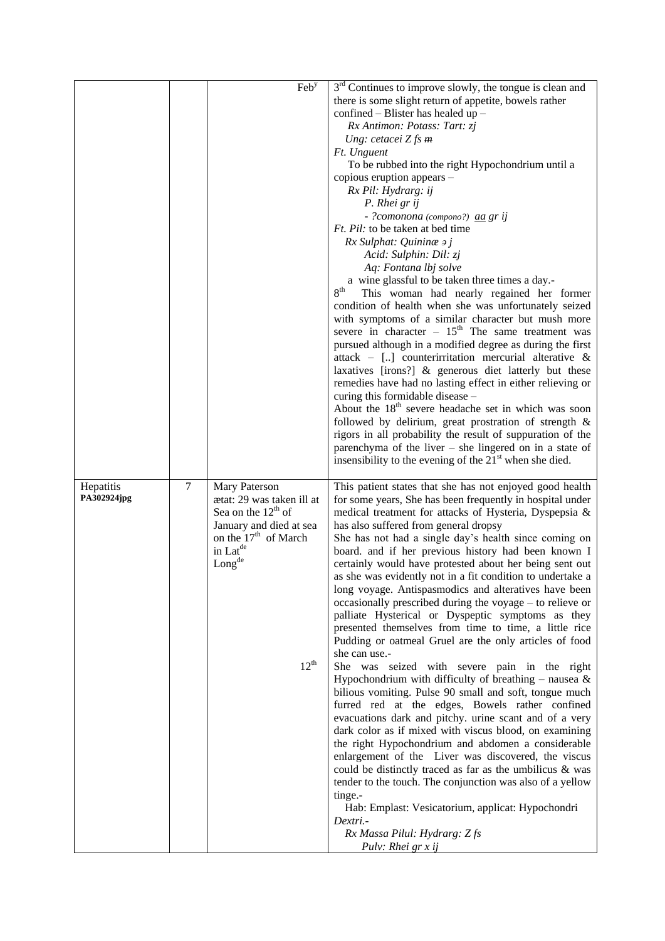|             |                | Feb <sup>y</sup>                 | $3rd$ Continues to improve slowly, the tongue is clean and          |
|-------------|----------------|----------------------------------|---------------------------------------------------------------------|
|             |                |                                  | there is some slight return of appetite, bowels rather              |
|             |                |                                  | confined – Blister has healed up –                                  |
|             |                |                                  | Rx Antimon: Potass: Tart: zj                                        |
|             |                |                                  | Ung: cetacei $Z$ fs $m$                                             |
|             |                |                                  | Ft. Unguent                                                         |
|             |                |                                  | To be rubbed into the right Hypochondrium until a                   |
|             |                |                                  | copious eruption appears -                                          |
|             |                |                                  | Rx Pil: Hydrarg: ij                                                 |
|             |                |                                  | P. Rhei gr ij                                                       |
|             |                |                                  | - ?comonona (compono?) aa gr ij                                     |
|             |                |                                  | <i>Ft. Pil:</i> to be taken at bed time                             |
|             |                |                                  | $Rx$ Sulphat: Quining $\rightarrow j$                               |
|             |                |                                  | Acid: Sulphin: Dil: zj                                              |
|             |                |                                  | Aq: Fontana lbj solve                                               |
|             |                |                                  | a wine glassful to be taken three times a day.-                     |
|             |                |                                  | 8 <sup>th</sup><br>This woman had nearly regained her former        |
|             |                |                                  | condition of health when she was unfortunately seized               |
|             |                |                                  | with symptoms of a similar character but mush more                  |
|             |                |                                  | severe in character $-15$ <sup>th</sup> The same treatment was      |
|             |                |                                  | pursued although in a modified degree as during the first           |
|             |                |                                  | attack – [] counterirritation mercurial alterative $\&$             |
|             |                |                                  | laxatives [irons?] & generous diet latterly but these               |
|             |                |                                  | remedies have had no lasting effect in either relieving or          |
|             |                |                                  | curing this formidable disease -                                    |
|             |                |                                  | About the 18 <sup>th</sup> severe headache set in which was soon    |
|             |                |                                  | followed by delirium, great prostration of strength &               |
|             |                |                                  | rigors in all probability the result of suppuration of the          |
|             |                |                                  | parenchyma of the liver $-$ she lingered on in a state of           |
|             |                |                                  | insensibility to the evening of the 21 <sup>st</sup> when she died. |
| Hepatitis   | $\overline{7}$ | Mary Paterson                    | This patient states that she has not enjoyed good health            |
| PA302924jpg |                | ætat: 29 was taken ill at        | for some years, She has been frequently in hospital under           |
|             |                | Sea on the $12th$ of             | medical treatment for attacks of Hysteria, Dyspepsia &              |
|             |                | January and died at sea          | has also suffered from general dropsy                               |
|             |                | on the 17 <sup>th</sup> of March | She has not had a single day's health since coming on               |
|             |                |                                  |                                                                     |
|             |                | in Lat <sup>de</sup>             | board. and if her previous history had been known I                 |
|             |                | Long <sup>de</sup>               | certainly would have protested about her being sent out             |
|             |                |                                  | as she was evidently not in a fit condition to undertake a          |
|             |                |                                  | long voyage. Antispasmodics and alteratives have been               |
|             |                |                                  | occasionally prescribed during the voyage – to relieve or           |
|             |                |                                  | palliate Hysterical or Dyspeptic symptoms as they                   |
|             |                |                                  | presented themselves from time to time, a little rice               |
|             |                |                                  | Pudding or oatmeal Gruel are the only articles of food              |
|             |                |                                  | she can use.-                                                       |
|             |                | $12^{th}$                        | She was seized with severe pain in the right                        |
|             |                |                                  | Hypochondrium with difficulty of breathing – nausea $\&$            |
|             |                |                                  | bilious vomiting. Pulse 90 small and soft, tongue much              |
|             |                |                                  | furred red at the edges, Bowels rather confined                     |
|             |                |                                  | evacuations dark and pitchy. urine scant and of a very              |
|             |                |                                  | dark color as if mixed with viscus blood, on examining              |
|             |                |                                  | the right Hypochondrium and abdomen a considerable                  |
|             |                |                                  | enlargement of the Liver was discovered, the viscus                 |
|             |                |                                  | could be distinctly traced as far as the umbilicus $\&$ was         |
|             |                |                                  | tender to the touch. The conjunction was also of a yellow           |
|             |                |                                  | tinge.-                                                             |
|             |                |                                  | Hab: Emplast: Vesicatorium, applicat: Hypochondri<br>Dextri.-       |
|             |                |                                  | Rx Massa Pilul: Hydrarg: Z fs                                       |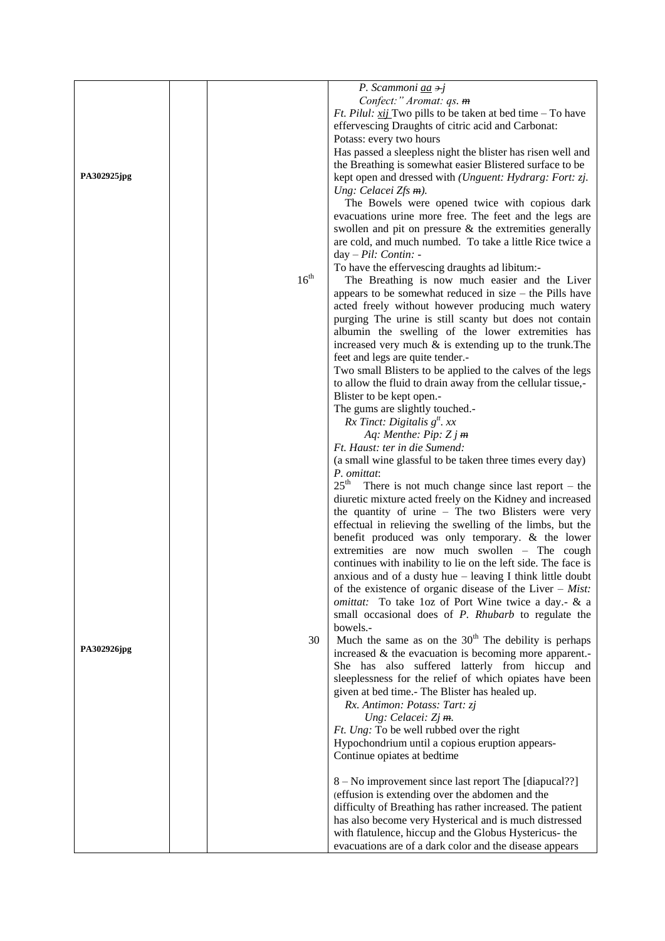|             |                  | P. Scammoni aa +j                                                 |
|-------------|------------------|-------------------------------------------------------------------|
|             |                  | Confect:" Aromat: qs. m                                           |
|             |                  |                                                                   |
|             |                  | <i>Ft. Pilul: xij</i> Two pills to be taken at bed time – To have |
|             |                  | effervescing Draughts of citric acid and Carbonat:                |
|             |                  | Potass: every two hours                                           |
|             |                  | Has passed a sleepless night the blister has risen well and       |
|             |                  | the Breathing is somewhat easier Blistered surface to be          |
| PA302925jpg |                  | kept open and dressed with (Unguent: Hydrarg: Fort: zj.           |
|             |                  | Ung: Celacei $Zfs$ $m$ ).                                         |
|             |                  | The Bowels were opened twice with copious dark                    |
|             |                  | evacuations urine more free. The feet and the legs are            |
|             |                  | swollen and pit on pressure $\&$ the extremities generally        |
|             |                  | are cold, and much numbed. To take a little Rice twice a          |
|             |                  | day - Pil: Contin: -                                              |
|             |                  |                                                                   |
|             | 16 <sup>th</sup> | To have the effervescing draughts ad libitum:-                    |
|             |                  | The Breathing is now much easier and the Liver                    |
|             |                  | appears to be somewhat reduced in size $-$ the Pills have         |
|             |                  | acted freely without however producing much watery                |
|             |                  | purging The urine is still scanty but does not contain            |
|             |                  | albumin the swelling of the lower extremities has                 |
|             |                  | increased very much $\&$ is extending up to the trunk. The        |
|             |                  | feet and legs are quite tender.-                                  |
|             |                  | Two small Blisters to be applied to the calves of the legs        |
|             |                  | to allow the fluid to drain away from the cellular tissue,-       |
|             |                  | Blister to be kept open.-                                         |
|             |                  | The gums are slightly touched.-                                   |
|             |                  | $Rx$ Tinct: Digitalis $gtt$ . xx                                  |
|             |                  | Aq: Menthe: Pip: $Zj$ m                                           |
|             |                  | Ft. Haust: ter in die Sumend:                                     |
|             |                  | (a small wine glassful to be taken three times every day)         |
|             |                  |                                                                   |
|             |                  | P. omittat:<br>$25^{\text{th}}$                                   |
|             |                  | There is not much change since last report $-$ the                |
|             |                  | diuretic mixture acted freely on the Kidney and increased         |
|             |                  | the quantity of urine - The two Blisters were very                |
|             |                  | effectual in relieving the swelling of the limbs, but the         |
|             |                  | benefit produced was only temporary. & the lower                  |
|             |                  | extremities are now much swollen - The cough                      |
|             |                  | continues with inability to lie on the left side. The face is     |
|             |                  | anxious and of a dusty hue - leaving I think little doubt         |
|             |                  | of the existence of organic disease of the Liver $-$ Mist:        |
|             |                  | omittat: To take loz of Port Wine twice a day.- & a               |
|             |                  | small occasional does of <i>P. Rhubarb</i> to regulate the        |
|             |                  | bowels.-                                                          |
|             | 30               | Much the same as on the $30th$ The debility is perhaps            |
| PA302926jpg |                  | increased $\&$ the evacuation is becoming more apparent.          |
|             |                  | She has also suffered latterly from hiccup and                    |
|             |                  | sleeplessness for the relief of which opiates have been           |
|             |                  | given at bed time.- The Blister has healed up.                    |
|             |                  | Rx. Antimon: Potass: Tart: zj                                     |
|             |                  | Ung: Celacei: Zj m.                                               |
|             |                  | Ft. Ung: To be well rubbed over the right                         |
|             |                  |                                                                   |
|             |                  | Hypochondrium until a copious eruption appears-                   |
|             |                  | Continue opiates at bedtime                                       |
|             |                  |                                                                   |
|             |                  | 8 – No improvement since last report The [diapucal??]             |
|             |                  | (effusion is extending over the abdomen and the                   |
|             |                  | difficulty of Breathing has rather increased. The patient         |
|             |                  | has also become very Hysterical and is much distressed            |
|             |                  | with flatulence, hiccup and the Globus Hystericus- the            |
|             |                  | evacuations are of a dark color and the disease appears           |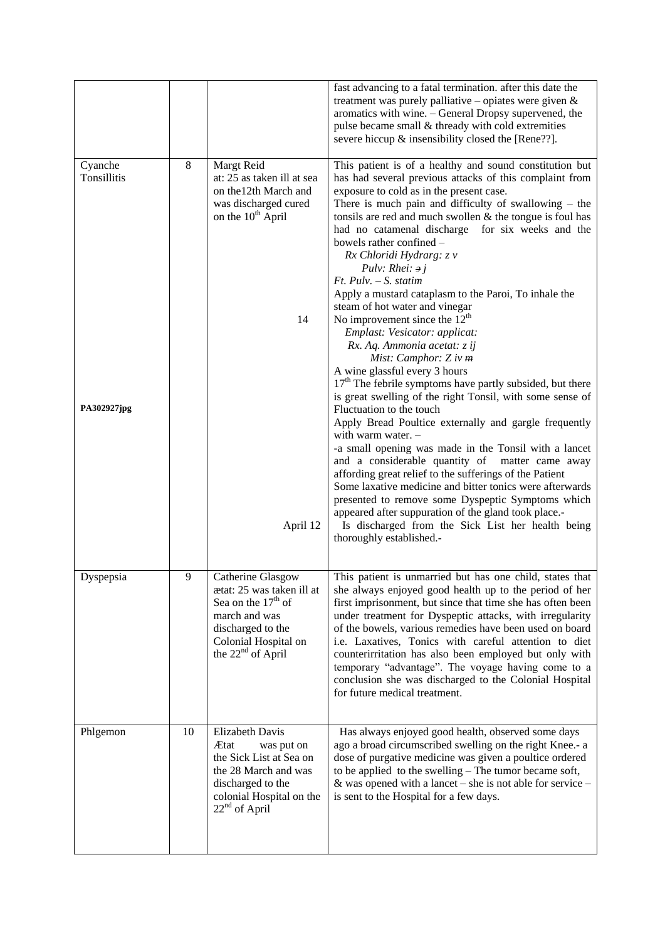|                        |    |                                                                                                                                                                       | fast advancing to a fatal termination. after this date the<br>treatment was purely palliative – opiates were given $\&$<br>aromatics with wine. - General Dropsy supervened, the<br>pulse became small & thready with cold extremities<br>severe hiccup & insensibility closed the [Rene??].                                                                                                                                                                                                                                                                                |
|------------------------|----|-----------------------------------------------------------------------------------------------------------------------------------------------------------------------|-----------------------------------------------------------------------------------------------------------------------------------------------------------------------------------------------------------------------------------------------------------------------------------------------------------------------------------------------------------------------------------------------------------------------------------------------------------------------------------------------------------------------------------------------------------------------------|
| Cyanche<br>Tonsillitis | 8  | Margt Reid<br>at: 25 as taken ill at sea<br>on the 12th March and<br>was discharged cured<br>on the 10 <sup>th</sup> April                                            | This patient is of a healthy and sound constitution but<br>has had several previous attacks of this complaint from<br>exposure to cold as in the present case.<br>There is much pain and difficulty of swallowing $-$ the<br>tonsils are red and much swollen & the tongue is foul has<br>had no catamenal discharge for six weeks and the<br>bowels rather confined -<br>Rx Chloridi Hydrarg: z v<br>Pulv: Rhei: $\partial j$<br>$Ft$ . Pulv. - S. statim                                                                                                                  |
| PA302927jpg            |    | 14                                                                                                                                                                    | Apply a mustard cataplasm to the Paroi, To inhale the<br>steam of hot water and vinegar<br>No improvement since the $12th$<br>Emplast: Vesicator: applicat:<br>Rx. Aq. Ammonia acetat: z ij<br>Mist: Camphor: $Z$ iv $m$<br>A wine glassful every 3 hours<br>$17th$ The febrile symptoms have partly subsided, but there<br>is great swelling of the right Tonsil, with some sense of<br>Fluctuation to the touch                                                                                                                                                           |
|                        |    | April 12                                                                                                                                                              | Apply Bread Poultice externally and gargle frequently<br>with warm water. $-$<br>-a small opening was made in the Tonsil with a lancet<br>and a considerable quantity of matter came away<br>affording great relief to the sufferings of the Patient<br>Some laxative medicine and bitter tonics were afterwards<br>presented to remove some Dyspeptic Symptoms which<br>appeared after suppuration of the gland took place.-<br>Is discharged from the Sick List her health being<br>thoroughly established.-                                                              |
| Dyspepsia              | 9  | Catherine Glasgow<br>ætat: 25 was taken ill at<br>Sea on the $17th$ of<br>march and was<br>discharged to the<br>Colonial Hospital on<br>the 22 <sup>nd</sup> of April | This patient is unmarried but has one child, states that<br>she always enjoyed good health up to the period of her<br>first imprisonment, but since that time she has often been<br>under treatment for Dyspeptic attacks, with irregularity<br>of the bowels, various remedies have been used on board<br>i.e. Laxatives, Tonics with careful attention to diet<br>counterirritation has also been employed but only with<br>temporary "advantage". The voyage having come to a<br>conclusion she was discharged to the Colonial Hospital<br>for future medical treatment. |
| Phlgemon               | 10 | <b>Elizabeth Davis</b><br>Ætat<br>was put on<br>the Sick List at Sea on<br>the 28 March and was<br>discharged to the<br>colonial Hospital on the<br>$22nd$ of April   | Has always enjoyed good health, observed some days<br>ago a broad circumscribed swelling on the right Knee.- a<br>dose of purgative medicine was given a poultice ordered<br>to be applied to the swelling – The tumor became soft,<br>& was opened with a lancet – she is not able for service –<br>is sent to the Hospital for a few days.                                                                                                                                                                                                                                |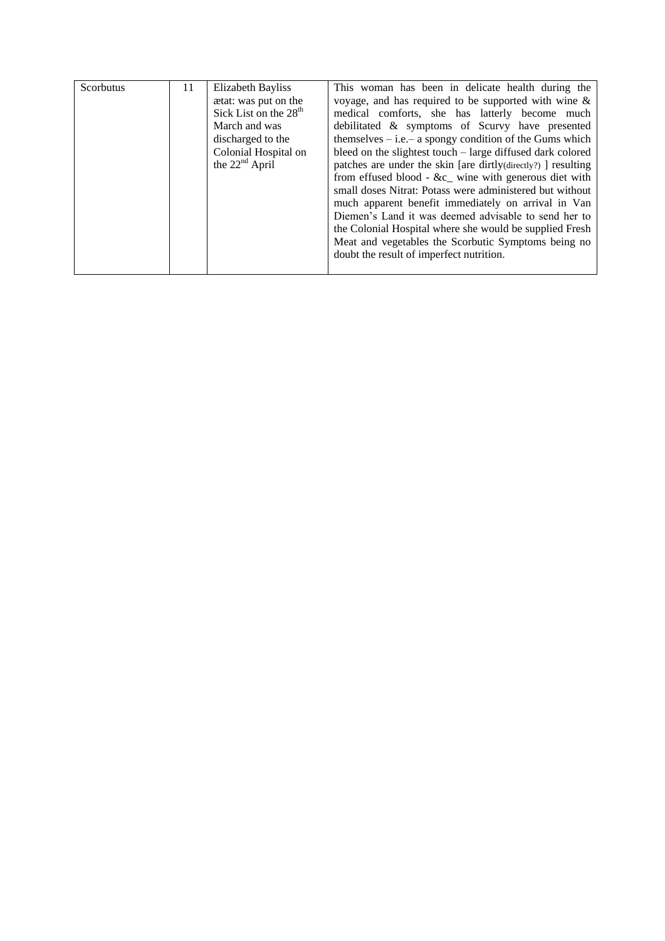| Scorbutus | 11 | Elizabeth Bayliss<br>ætat: was put on the<br>Sick List on the 28 <sup>th</sup><br>March and was<br>discharged to the<br>Colonial Hospital on<br>the $22nd$ April | This woman has been in delicate health during the<br>voyage, and has required to be supported with wine $\&$<br>medical comforts, she has latterly become much<br>debilitated & symptoms of Scurvy have presented<br>themselves $-$ i.e. $-$ a spongy condition of the Gums which<br>bleed on the slightest touch – large diffused dark colored<br>patches are under the skin [are dirtly(directly?) ] resulting<br>from effused blood - &c_ wine with generous diet with<br>small doses Nitrat: Potass were administered but without<br>much apparent benefit immediately on arrival in Van<br>Diemen's Land it was deemed advisable to send her to<br>the Colonial Hospital where she would be supplied Fresh<br>Meat and vegetables the Scorbutic Symptoms being no |
|-----------|----|------------------------------------------------------------------------------------------------------------------------------------------------------------------|------------------------------------------------------------------------------------------------------------------------------------------------------------------------------------------------------------------------------------------------------------------------------------------------------------------------------------------------------------------------------------------------------------------------------------------------------------------------------------------------------------------------------------------------------------------------------------------------------------------------------------------------------------------------------------------------------------------------------------------------------------------------|
|           |    |                                                                                                                                                                  | doubt the result of imperfect nutrition.                                                                                                                                                                                                                                                                                                                                                                                                                                                                                                                                                                                                                                                                                                                               |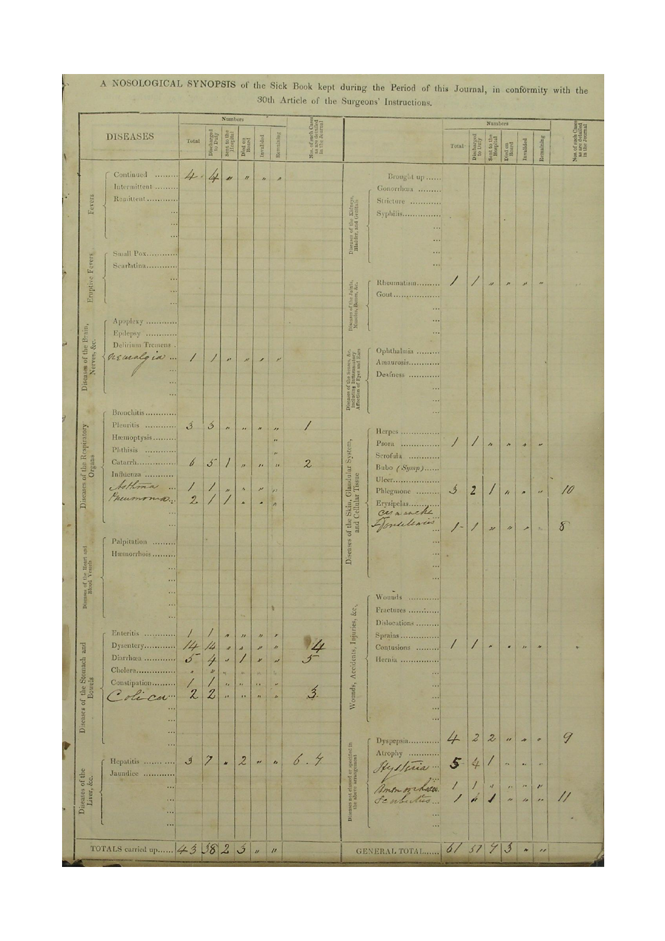|                                                           |                                                                                                                              |                                                          |                                                | <b>Numbers</b>                                                              |                                                                                            |                                                                           |                                                                             | such Cases<br>e detailed<br>e Journal |                                                                               |                                                                                                                      |                             |                                    | Numbers                              |                                                                                                         |                                                         |                                                                |                                                         |
|-----------------------------------------------------------|------------------------------------------------------------------------------------------------------------------------------|----------------------------------------------------------|------------------------------------------------|-----------------------------------------------------------------------------|--------------------------------------------------------------------------------------------|---------------------------------------------------------------------------|-----------------------------------------------------------------------------|---------------------------------------|-------------------------------------------------------------------------------|----------------------------------------------------------------------------------------------------------------------|-----------------------------|------------------------------------|--------------------------------------|---------------------------------------------------------------------------------------------------------|---------------------------------------------------------|----------------------------------------------------------------|---------------------------------------------------------|
|                                                           | <b>DISEASES</b>                                                                                                              | Total                                                    | Discharged<br>to Duty                          | Sent to the<br>Hospital                                                     | Died on                                                                                    | Invalided                                                                 | Remaining                                                                   | Nos. of st<br>as are                  |                                                                               |                                                                                                                      | Total:                      | Discharged<br>to Dury              | Sent to the<br>Hospital              | Died on                                                                                                 | Invalided                                               | Remaining                                                      | Nos. of such Cases<br>as are detailed<br>in the Journal |
| Fevers                                                    | Continued<br>Intermittent<br>Remittent<br>$\ddot{\phantom{1}}$                                                               | 4.                                                       | 4                                              | n                                                                           | $\eta$                                                                                     | $\prime\prime$                                                            | $\overline{\phantom{a}}$                                                    |                                       | Diseases of the Kidneys,<br>Bladder, and Genitals                             | Brought up<br>Gonorrham<br>Stricture<br>Syphilis<br>$\cdots$<br>$-1$                                                 |                             |                                    |                                      |                                                                                                         |                                                         |                                                                |                                                         |
| Eruptive Fevers                                           | <b>Small Pox</b><br>Scarlatina<br>٠.<br>$\mathcal{L}(\mathbf{x})$<br>Apoplexy                                                |                                                          |                                                |                                                                             |                                                                                            |                                                                           |                                                                             |                                       | Diseases of the Joints,<br>Muscles, Bones, &c.                                | $\cdots$<br>Rheumatism<br>Gout<br>$\cdots$<br>$\cdots$                                                               |                             |                                    | $\label{eq:1} \mathcal{U}$           | $\boldsymbol{P}$                                                                                        |                                                         |                                                                |                                                         |
| Diseases of the Brain,<br>Nerves, &c.                     | Epilepsy<br>Delirium Tremens.<br>nemalgia<br>$\overline{\phantom{a}}$<br>$\sim$<br>                                          | Τ                                                        |                                                | $\boldsymbol{P}$                                                            | $\mathcal{M}% _{0}\left( t\right) \sim\mathcal{M}_{0}\left( t\right) ,$                    | ↗                                                                         |                                                                             |                                       | Diseases of the Senses, &c. including Inflammatory Affection of Fyes and Ears | Ophthalmia<br>Amaurosis<br>Deafness<br><br>1.11                                                                      |                             |                                    |                                      |                                                                                                         |                                                         |                                                                |                                                         |
| Diseases of the Respiratory<br>Organs                     | Bronchitis<br>Pleuritis<br>Hæmoptysis<br>Phthisis<br>Catarrh<br>Influenza                                                    | $\mathcal{I}$<br>$\boldsymbol{b}$                        | $\breve{\mathcal{S}}$<br>$5 -$                 | $\overline{v}$                                                              | $\overline{\phantom{a}}$<br>$\boldsymbol{\mu}$                                             | $\boldsymbol{\mu}$<br>$\overline{u}$                                      | $\overline{\phantom{a}}$<br>$\overline{1}$<br>$\mathbf{r}$<br>$\frac{1}{2}$ | $\boldsymbol{z}$                      |                                                                               | $\cdots$<br>Herpes<br>Psora<br>Scrofula<br>Bubo $(Symp)$<br>Ulcer                                                    | Ι                           |                                    | $\boldsymbol{\mu}$                   | $\boldsymbol{\lambda}$                                                                                  | ٠                                                       |                                                                |                                                         |
| · Heart and                                               | Asthma<br>$\overline{\phantom{a}}$<br>Preumoma<br>44<br>Palpitation<br>Hæmorrhois                                            | $\overline{\phantom{a}}$<br>$\mathbf{2}$                 |                                                | $\boldsymbol{\mu}$                                                          | $\boldsymbol{\Lambda}$<br>$\blacktriangle$                                                 | ×<br>z                                                                    | $\sqrt{2}$<br>$\overline{\phantom{a}}$                                      |                                       | Diseases of the Skin, Glandular System,                                       | Phlegmone<br>Donaleris                                                                                               | $\mathcal{L}$<br>$\prime$ - | $\overline{z}$                     | $\prime$<br>$\boldsymbol{\varkappa}$ | $\overline{h}$<br>$\frac{1}{2}$                                                                         | $\overline{\phantom{a}}$<br>৴                           | $\overline{\mathcal{L}}$<br>$\mathcal{D}_{\mathrm{R}}$         | 10<br>$\delta$                                          |
| Diseases of the<br>Blood Y<br>Diseases of the Stomach and | $\dddotsc$<br>$\cdots$<br><br><br>$\cdots$<br>Enteritis<br>Dysentery<br>Diarrhœa<br>Cholera<br>Constipation<br>lica"<br><br> | $\prime$<br>14<br>$\boldsymbol{v}$<br>×<br>$\mathcal{Z}$ | 14<br>4<br>$\boldsymbol{\nu}$<br>$\mathcal{Z}$ | $\overline{\phantom{a}}$<br>$\omega$<br>Ń.<br>$\frac{1}{2}$<br>$\mathbf{z}$ | $\overline{\boldsymbol{\mu}}$<br>$\overline{\lambda}$<br><b>AN</b><br>$\alpha$<br>$\cdots$ | $\boldsymbol{\eta}$<br>₽<br>¥<br>$\mathcal{H}$<br>$\bullet$ .<br>$\alpha$ | ٠<br>×<br>D.<br>$\overline{\nu}$<br>۰.<br>$\overline{\phantom{a}}$<br>h.    | $\overline{3}$                        | Wounds, Accidents, Injuries, &c.,                                             | 1.11<br>Wounds<br>Fractures<br>Dislocations<br>Sprains<br>Contusions<br>Hernia<br>$\cdots$<br>$\sim$<br>$\cdots$<br> |                             |                                    |                                      | ×                                                                                                       | $\label{eq:Jp} J.\rho$                                  |                                                                |                                                         |
| Diseases of the<br>Liver, &c.                             | <br><br>Hepatitis<br>Jaundice<br><br>$\cdots$<br>                                                                            | $\mathcal{J}$                                            |                                                | <b>M</b>                                                                    | $\mathcal{Z}$                                                                              | $\boldsymbol{\theta}$                                                     | $\overline{b}$                                                              | 6.4                                   | Diseases not classed or specified in                                          | Dyspepsia<br>Atrophy<br>Hysteria<br>Scabulus                                                                         | 4<br>$5 -$<br>Z             | $\overline{\mathcal{Z}}$<br>4<br>ú | $\boldsymbol{z}$<br>$J$              | $\overline{\mu}$<br>$\overline{\phantom{a}}$<br>$\mathcal{F}^{\mathcal{A}}$<br>$\overline{\phantom{a}}$ | ۰<br>$\overline{A}$<br>$\mathbf{r}$<br>$\overline{\mu}$ | ٠<br>$\overline{a}$<br>$\pmb{\nu}$<br>$\overline{\phantom{a}}$ | 9                                                       |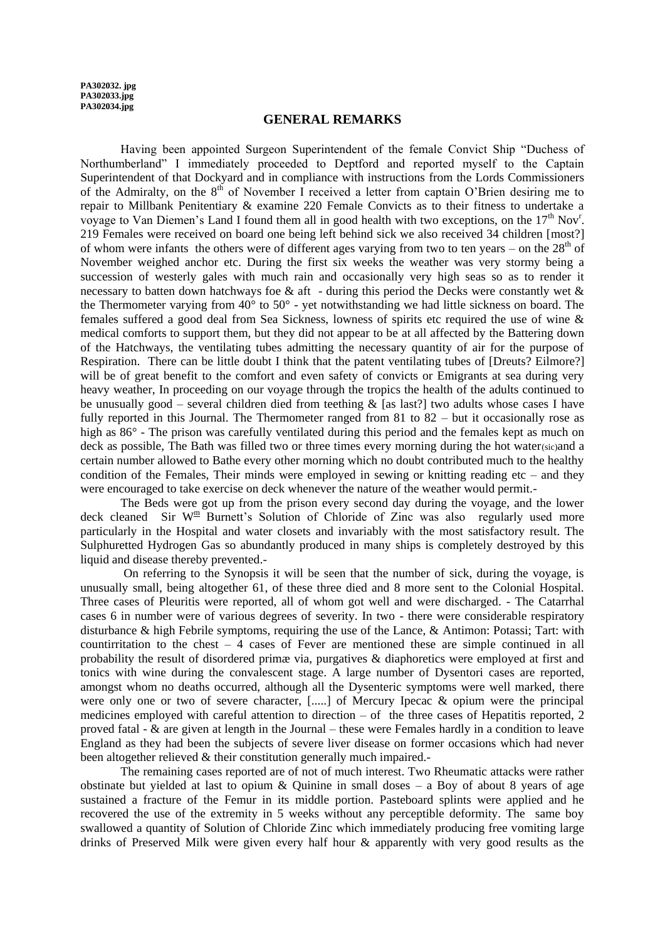**PA302032. jpg PA302033.jpg PA302034.jpg**

#### **GENERAL REMARKS**

Having been appointed Surgeon Superintendent of the female Convict Ship "Duchess of Northumberland" I immediately proceeded to Deptford and reported myself to the Captain Superintendent of that Dockyard and in compliance with instructions from the Lords Commissioners of the Admiralty, on the  $8<sup>th</sup>$  of November I received a letter from captain O'Brien desiring me to repair to Millbank Penitentiary & examine 220 Female Convicts as to their fitness to undertake a voyage to Van Diemen's Land I found them all in good health with two exceptions, on the  $17<sup>th</sup>$  Nov<sup>r</sup>. 219 Females were received on board one being left behind sick we also received 34 children [most?] of whom were infants the others were of different ages varying from two to ten years – on the  $28<sup>th</sup>$  of November weighed anchor etc. During the first six weeks the weather was very stormy being a succession of westerly gales with much rain and occasionally very high seas so as to render it necessary to batten down hatchways foe  $\&$  aft - during this period the Decks were constantly wet  $\&$ the Thermometer varying from  $40^{\circ}$  to  $50^{\circ}$  - yet notwithstanding we had little sickness on board. The females suffered a good deal from Sea Sickness, lowness of spirits etc required the use of wine & medical comforts to support them, but they did not appear to be at all affected by the Battering down of the Hatchways, the ventilating tubes admitting the necessary quantity of air for the purpose of Respiration. There can be little doubt I think that the patent ventilating tubes of [Dreuts? Eilmore?] will be of great benefit to the comfort and even safety of convicts or Emigrants at sea during very heavy weather, In proceeding on our voyage through the tropics the health of the adults continued to be unusually good – several children died from teething  $\&$  [as last?] two adults whose cases I have fully reported in this Journal. The Thermometer ranged from 81 to 82 – but it occasionally rose as high as  $86^\circ$  - The prison was carefully ventilated during this period and the females kept as much on deck as possible. The Bath was filled two or three times every morning during the hot water(sic)and a certain number allowed to Bathe every other morning which no doubt contributed much to the healthy condition of the Females, Their minds were employed in sewing or knitting reading etc – and they were encouraged to take exercise on deck whenever the nature of the weather would permit.-

The Beds were got up from the prison every second day during the voyage, and the lower deck cleaned Sir  $W^{\underline{m}}$  Burnett's Solution of Chloride of Zinc was also regularly used more particularly in the Hospital and water closets and invariably with the most satisfactory result. The Sulphuretted Hydrogen Gas so abundantly produced in many ships is completely destroyed by this liquid and disease thereby prevented.-

On referring to the Synopsis it will be seen that the number of sick, during the voyage, is unusually small, being altogether 61, of these three died and 8 more sent to the Colonial Hospital. Three cases of Pleuritis were reported, all of whom got well and were discharged. - The Catarrhal cases 6 in number were of various degrees of severity. In two - there were considerable respiratory disturbance & high Febrile symptoms, requiring the use of the Lance, & Antimon: Potassi; Tart: with countirritation to the chest – 4 cases of Fever are mentioned these are simple continued in all probability the result of disordered primæ via, purgatives & diaphoretics were employed at first and tonics with wine during the convalescent stage. A large number of Dysentori cases are reported, amongst whom no deaths occurred, although all the Dysenteric symptoms were well marked, there were only one or two of severe character, [.....] of Mercury Ipecac & opium were the principal medicines employed with careful attention to direction – of the three cases of Hepatitis reported, 2 proved fatal - & are given at length in the Journal – these were Females hardly in a condition to leave England as they had been the subjects of severe liver disease on former occasions which had never been altogether relieved & their constitution generally much impaired.

The remaining cases reported are of not of much interest. Two Rheumatic attacks were rather obstinate but yielded at last to opium  $\&$  Quinine in small doses – a Boy of about 8 years of age sustained a fracture of the Femur in its middle portion. Pasteboard splints were applied and he recovered the use of the extremity in 5 weeks without any perceptible deformity. The same boy swallowed a quantity of Solution of Chloride Zinc which immediately producing free vomiting large drinks of Preserved Milk were given every half hour & apparently with very good results as the